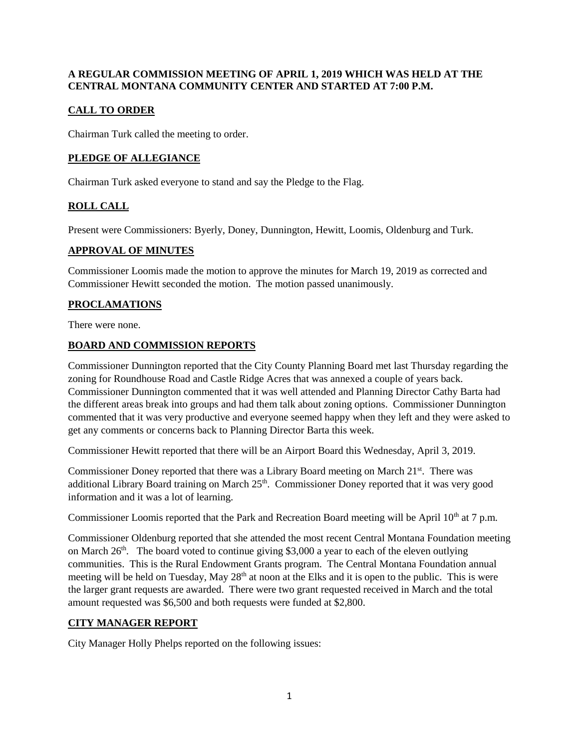## **A REGULAR COMMISSION MEETING OF APRIL 1, 2019 WHICH WAS HELD AT THE CENTRAL MONTANA COMMUNITY CENTER AND STARTED AT 7:00 P.M.**

# **CALL TO ORDER**

Chairman Turk called the meeting to order.

# **PLEDGE OF ALLEGIANCE**

Chairman Turk asked everyone to stand and say the Pledge to the Flag.

# **ROLL CALL**

Present were Commissioners: Byerly, Doney, Dunnington, Hewitt, Loomis, Oldenburg and Turk.

### **APPROVAL OF MINUTES**

Commissioner Loomis made the motion to approve the minutes for March 19, 2019 as corrected and Commissioner Hewitt seconded the motion. The motion passed unanimously.

# **PROCLAMATIONS**

There were none.

### **BOARD AND COMMISSION REPORTS**

Commissioner Dunnington reported that the City County Planning Board met last Thursday regarding the zoning for Roundhouse Road and Castle Ridge Acres that was annexed a couple of years back. Commissioner Dunnington commented that it was well attended and Planning Director Cathy Barta had the different areas break into groups and had them talk about zoning options. Commissioner Dunnington commented that it was very productive and everyone seemed happy when they left and they were asked to get any comments or concerns back to Planning Director Barta this week.

Commissioner Hewitt reported that there will be an Airport Board this Wednesday, April 3, 2019.

Commissioner Doney reported that there was a Library Board meeting on March 21st. There was additional Library Board training on March 25<sup>th</sup>. Commissioner Doney reported that it was very good information and it was a lot of learning.

Commissioner Loomis reported that the Park and Recreation Board meeting will be April  $10<sup>th</sup>$  at 7 p.m.

Commissioner Oldenburg reported that she attended the most recent Central Montana Foundation meeting on March  $26<sup>th</sup>$ . The board voted to continue giving \$3,000 a year to each of the eleven outlying communities. This is the Rural Endowment Grants program. The Central Montana Foundation annual meeting will be held on Tuesday, May 28<sup>th</sup> at noon at the Elks and it is open to the public. This is were the larger grant requests are awarded. There were two grant requested received in March and the total amount requested was \$6,500 and both requests were funded at \$2,800.

## **CITY MANAGER REPORT**

City Manager Holly Phelps reported on the following issues: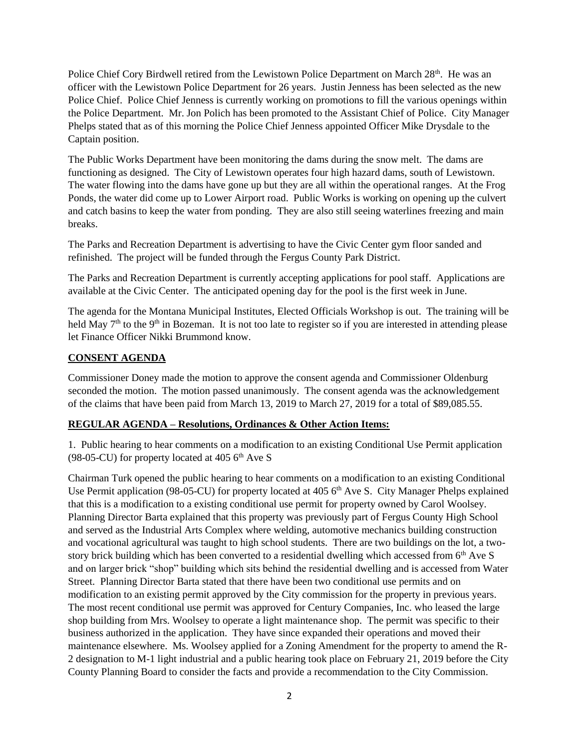Police Chief Cory Birdwell retired from the Lewistown Police Department on March 28<sup>th</sup>. He was an officer with the Lewistown Police Department for 26 years. Justin Jenness has been selected as the new Police Chief. Police Chief Jenness is currently working on promotions to fill the various openings within the Police Department. Mr. Jon Polich has been promoted to the Assistant Chief of Police. City Manager Phelps stated that as of this morning the Police Chief Jenness appointed Officer Mike Drysdale to the Captain position.

The Public Works Department have been monitoring the dams during the snow melt. The dams are functioning as designed. The City of Lewistown operates four high hazard dams, south of Lewistown. The water flowing into the dams have gone up but they are all within the operational ranges. At the Frog Ponds, the water did come up to Lower Airport road. Public Works is working on opening up the culvert and catch basins to keep the water from ponding. They are also still seeing waterlines freezing and main breaks.

The Parks and Recreation Department is advertising to have the Civic Center gym floor sanded and refinished. The project will be funded through the Fergus County Park District.

The Parks and Recreation Department is currently accepting applications for pool staff. Applications are available at the Civic Center. The anticipated opening day for the pool is the first week in June.

The agenda for the Montana Municipal Institutes, Elected Officials Workshop is out. The training will be held May 7<sup>th</sup> to the 9<sup>th</sup> in Bozeman. It is not too late to register so if you are interested in attending please let Finance Officer Nikki Brummond know.

### **CONSENT AGENDA**

Commissioner Doney made the motion to approve the consent agenda and Commissioner Oldenburg seconded the motion. The motion passed unanimously. The consent agenda was the acknowledgement of the claims that have been paid from March 13, 2019 to March 27, 2019 for a total of \$89,085.55.

## **REGULAR AGENDA – Resolutions, Ordinances & Other Action Items:**

1. Public hearing to hear comments on a modification to an existing Conditional Use Permit application (98-05-CU) for property located at 405  $6<sup>th</sup>$  Ave S

Chairman Turk opened the public hearing to hear comments on a modification to an existing Conditional Use Permit application (98-05-CU) for property located at 405 6<sup>th</sup> Ave S. City Manager Phelps explained that this is a modification to a existing conditional use permit for property owned by Carol Woolsey. Planning Director Barta explained that this property was previously part of Fergus County High School and served as the Industrial Arts Complex where welding, automotive mechanics building construction and vocational agricultural was taught to high school students. There are two buildings on the lot, a twostory brick building which has been converted to a residential dwelling which accessed from 6<sup>th</sup> Ave S and on larger brick "shop" building which sits behind the residential dwelling and is accessed from Water Street. Planning Director Barta stated that there have been two conditional use permits and on modification to an existing permit approved by the City commission for the property in previous years. The most recent conditional use permit was approved for Century Companies, Inc. who leased the large shop building from Mrs. Woolsey to operate a light maintenance shop. The permit was specific to their business authorized in the application. They have since expanded their operations and moved their maintenance elsewhere. Ms. Woolsey applied for a Zoning Amendment for the property to amend the R-2 designation to M-1 light industrial and a public hearing took place on February 21, 2019 before the City County Planning Board to consider the facts and provide a recommendation to the City Commission.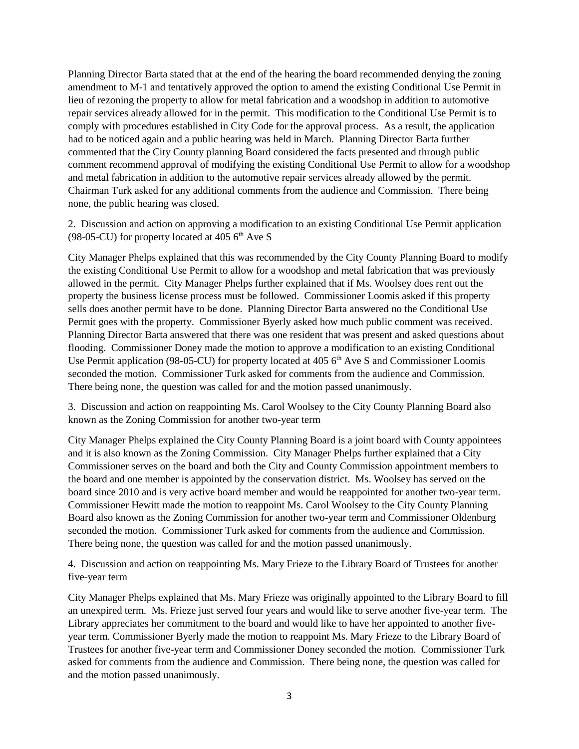Planning Director Barta stated that at the end of the hearing the board recommended denying the zoning amendment to M-1 and tentatively approved the option to amend the existing Conditional Use Permit in lieu of rezoning the property to allow for metal fabrication and a woodshop in addition to automotive repair services already allowed for in the permit. This modification to the Conditional Use Permit is to comply with procedures established in City Code for the approval process. As a result, the application had to be noticed again and a public hearing was held in March. Planning Director Barta further commented that the City County planning Board considered the facts presented and through public comment recommend approval of modifying the existing Conditional Use Permit to allow for a woodshop and metal fabrication in addition to the automotive repair services already allowed by the permit. Chairman Turk asked for any additional comments from the audience and Commission. There being none, the public hearing was closed.

2. Discussion and action on approving a modification to an existing Conditional Use Permit application (98-05-CU) for property located at 405  $6<sup>th</sup>$  Ave S

City Manager Phelps explained that this was recommended by the City County Planning Board to modify the existing Conditional Use Permit to allow for a woodshop and metal fabrication that was previously allowed in the permit. City Manager Phelps further explained that if Ms. Woolsey does rent out the property the business license process must be followed. Commissioner Loomis asked if this property sells does another permit have to be done. Planning Director Barta answered no the Conditional Use Permit goes with the property. Commissioner Byerly asked how much public comment was received. Planning Director Barta answered that there was one resident that was present and asked questions about flooding. Commissioner Doney made the motion to approve a modification to an existing Conditional Use Permit application (98-05-CU) for property located at 405 6<sup>th</sup> Ave S and Commissioner Loomis seconded the motion. Commissioner Turk asked for comments from the audience and Commission. There being none, the question was called for and the motion passed unanimously.

3. Discussion and action on reappointing Ms. Carol Woolsey to the City County Planning Board also known as the Zoning Commission for another two-year term

City Manager Phelps explained the City County Planning Board is a joint board with County appointees and it is also known as the Zoning Commission. City Manager Phelps further explained that a City Commissioner serves on the board and both the City and County Commission appointment members to the board and one member is appointed by the conservation district. Ms. Woolsey has served on the board since 2010 and is very active board member and would be reappointed for another two-year term. Commissioner Hewitt made the motion to reappoint Ms. Carol Woolsey to the City County Planning Board also known as the Zoning Commission for another two-year term and Commissioner Oldenburg seconded the motion. Commissioner Turk asked for comments from the audience and Commission. There being none, the question was called for and the motion passed unanimously.

4. Discussion and action on reappointing Ms. Mary Frieze to the Library Board of Trustees for another five-year term

City Manager Phelps explained that Ms. Mary Frieze was originally appointed to the Library Board to fill an unexpired term. Ms. Frieze just served four years and would like to serve another five-year term. The Library appreciates her commitment to the board and would like to have her appointed to another fiveyear term. Commissioner Byerly made the motion to reappoint Ms. Mary Frieze to the Library Board of Trustees for another five-year term and Commissioner Doney seconded the motion. Commissioner Turk asked for comments from the audience and Commission. There being none, the question was called for and the motion passed unanimously.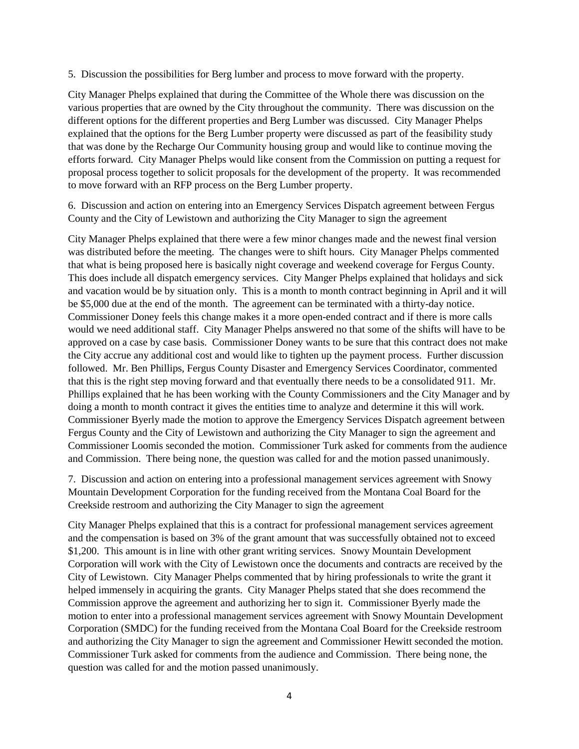5. Discussion the possibilities for Berg lumber and process to move forward with the property.

City Manager Phelps explained that during the Committee of the Whole there was discussion on the various properties that are owned by the City throughout the community. There was discussion on the different options for the different properties and Berg Lumber was discussed. City Manager Phelps explained that the options for the Berg Lumber property were discussed as part of the feasibility study that was done by the Recharge Our Community housing group and would like to continue moving the efforts forward. City Manager Phelps would like consent from the Commission on putting a request for proposal process together to solicit proposals for the development of the property. It was recommended to move forward with an RFP process on the Berg Lumber property.

6. Discussion and action on entering into an Emergency Services Dispatch agreement between Fergus County and the City of Lewistown and authorizing the City Manager to sign the agreement

City Manager Phelps explained that there were a few minor changes made and the newest final version was distributed before the meeting. The changes were to shift hours. City Manager Phelps commented that what is being proposed here is basically night coverage and weekend coverage for Fergus County. This does include all dispatch emergency services. City Manger Phelps explained that holidays and sick and vacation would be by situation only. This is a month to month contract beginning in April and it will be \$5,000 due at the end of the month. The agreement can be terminated with a thirty-day notice. Commissioner Doney feels this change makes it a more open-ended contract and if there is more calls would we need additional staff. City Manager Phelps answered no that some of the shifts will have to be approved on a case by case basis. Commissioner Doney wants to be sure that this contract does not make the City accrue any additional cost and would like to tighten up the payment process. Further discussion followed. Mr. Ben Phillips, Fergus County Disaster and Emergency Services Coordinator, commented that this is the right step moving forward and that eventually there needs to be a consolidated 911. Mr. Phillips explained that he has been working with the County Commissioners and the City Manager and by doing a month to month contract it gives the entities time to analyze and determine it this will work. Commissioner Byerly made the motion to approve the Emergency Services Dispatch agreement between Fergus County and the City of Lewistown and authorizing the City Manager to sign the agreement and Commissioner Loomis seconded the motion. Commissioner Turk asked for comments from the audience and Commission. There being none, the question was called for and the motion passed unanimously.

7. Discussion and action on entering into a professional management services agreement with Snowy Mountain Development Corporation for the funding received from the Montana Coal Board for the Creekside restroom and authorizing the City Manager to sign the agreement

City Manager Phelps explained that this is a contract for professional management services agreement and the compensation is based on 3% of the grant amount that was successfully obtained not to exceed \$1,200. This amount is in line with other grant writing services. Snowy Mountain Development Corporation will work with the City of Lewistown once the documents and contracts are received by the City of Lewistown. City Manager Phelps commented that by hiring professionals to write the grant it helped immensely in acquiring the grants. City Manager Phelps stated that she does recommend the Commission approve the agreement and authorizing her to sign it. Commissioner Byerly made the motion to enter into a professional management services agreement with Snowy Mountain Development Corporation (SMDC) for the funding received from the Montana Coal Board for the Creekside restroom and authorizing the City Manager to sign the agreement and Commissioner Hewitt seconded the motion. Commissioner Turk asked for comments from the audience and Commission. There being none, the question was called for and the motion passed unanimously.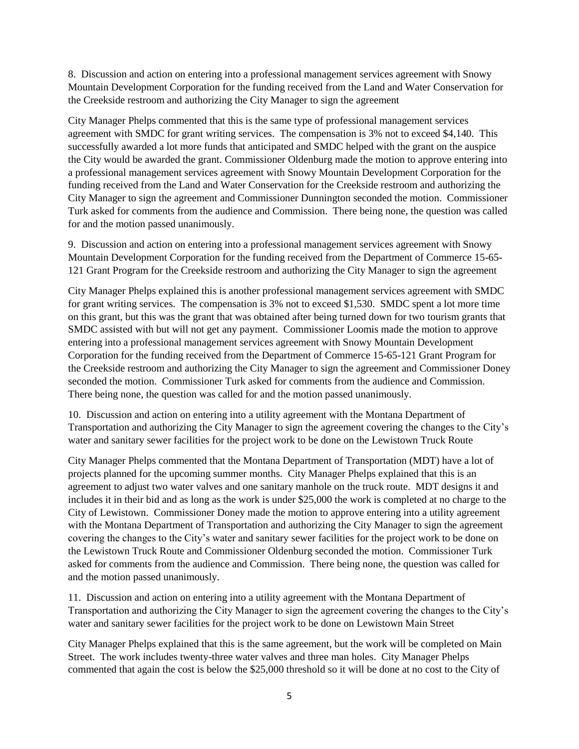8. Discussion and action on entering into a professional management services agreement with Snowy Mountain Development Corporation for the funding received from the Land and Water Conservation for the Creekside restroom and authorizing the City Manager to sign the agreement

City Manager Phelps commented that this is the same type of professional management services agreement with SMDC for grant writing services. The compensation is 3% not to exceed \$4,140. This successfully awarded a lot more funds that anticipated and SMDC helped with the grant on the auspice the City would be awarded the grant. Commissioner Oldenburg made the motion to approve entering into a professional management services agreement with Snowy Mountain Development Corporation for the funding received from the Land and Water Conservation for the Creekside restroom and authorizing the City Manager to sign the agreement and Commissioner Dunnington seconded the motion. Commissioner Turk asked for comments from the audience and Commission. There being none, the question was called for and the motion passed unanimously.

9. Discussion and action on entering into a professional management services agreement with Snowy Mountain Development Corporation for the funding received from the Department of Commerce 15-65- 121 Grant Program for the Creekside restroom and authorizing the City Manager to sign the agreement

City Manager Phelps explained this is another professional management services agreement with SMDC for grant writing services. The compensation is 3% not to exceed \$1,530. SMDC spent a lot more time on this grant, but this was the grant that was obtained after being turned down for two tourism grants that SMDC assisted with but will not get any payment. Commissioner Loomis made the motion to approve entering into a professional management services agreement with Snowy Mountain Development Corporation for the funding received from the Department of Commerce 15-65-121 Grant Program for the Creekside restroom and authorizing the City Manager to sign the agreement and Commissioner Doney seconded the motion. Commissioner Turk asked for comments from the audience and Commission. There being none, the question was called for and the motion passed unanimously.

10. Discussion and action on entering into a utility agreement with the Montana Department of Transportation and authorizing the City Manager to sign the agreement covering the changes to the City's water and sanitary sewer facilities for the project work to be done on the Lewistown Truck Route

City Manager Phelps commented that the Montana Department of Transportation (MDT) have a lot of projects planned for the upcoming summer months. City Manager Phelps explained that this is an agreement to adjust two water valves and one sanitary manhole on the truck route. MDT designs it and includes it in their bid and as long as the work is under \$25,000 the work is completed at no charge to the City of Lewistown. Commissioner Doney made the motion to approve entering into a utility agreement with the Montana Department of Transportation and authorizing the City Manager to sign the agreement covering the changes to the City's water and sanitary sewer facilities for the project work to be done on the Lewistown Truck Route and Commissioner Oldenburg seconded the motion. Commissioner Turk asked for comments from the audience and Commission. There being none, the question was called for and the motion passed unanimously.

11. Discussion and action on entering into a utility agreement with the Montana Department of Transportation and authorizing the City Manager to sign the agreement covering the changes to the City's water and sanitary sewer facilities for the project work to be done on Lewistown Main Street

City Manager Phelps explained that this is the same agreement, but the work will be completed on Main Street. The work includes twenty-three water valves and three man holes. City Manager Phelps commented that again the cost is below the \$25,000 threshold so it will be done at no cost to the City of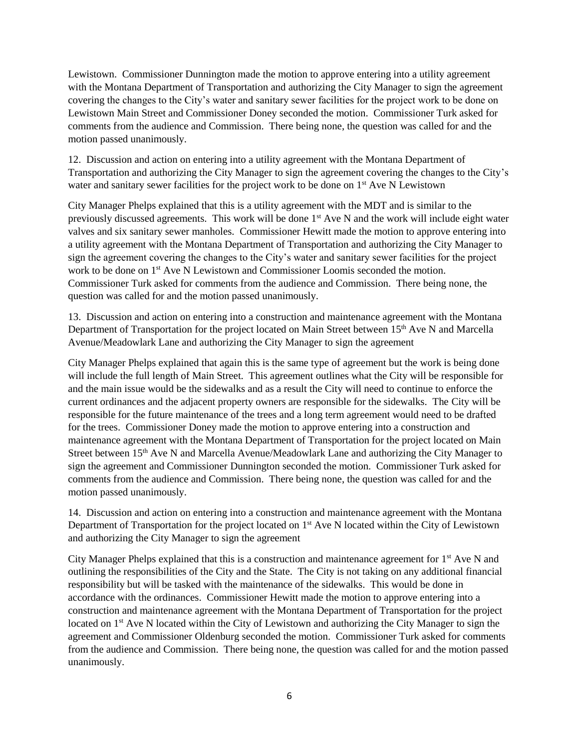Lewistown. Commissioner Dunnington made the motion to approve entering into a utility agreement with the Montana Department of Transportation and authorizing the City Manager to sign the agreement covering the changes to the City's water and sanitary sewer facilities for the project work to be done on Lewistown Main Street and Commissioner Doney seconded the motion. Commissioner Turk asked for comments from the audience and Commission. There being none, the question was called for and the motion passed unanimously.

12. Discussion and action on entering into a utility agreement with the Montana Department of Transportation and authorizing the City Manager to sign the agreement covering the changes to the City's water and sanitary sewer facilities for the project work to be done on 1<sup>st</sup> Ave N Lewistown

City Manager Phelps explained that this is a utility agreement with the MDT and is similar to the previously discussed agreements. This work will be done 1<sup>st</sup> Ave N and the work will include eight water valves and six sanitary sewer manholes. Commissioner Hewitt made the motion to approve entering into a utility agreement with the Montana Department of Transportation and authorizing the City Manager to sign the agreement covering the changes to the City's water and sanitary sewer facilities for the project work to be done on 1<sup>st</sup> Ave N Lewistown and Commissioner Loomis seconded the motion. Commissioner Turk asked for comments from the audience and Commission. There being none, the question was called for and the motion passed unanimously.

13. Discussion and action on entering into a construction and maintenance agreement with the Montana Department of Transportation for the project located on Main Street between 15<sup>th</sup> Ave N and Marcella Avenue/Meadowlark Lane and authorizing the City Manager to sign the agreement

City Manager Phelps explained that again this is the same type of agreement but the work is being done will include the full length of Main Street. This agreement outlines what the City will be responsible for and the main issue would be the sidewalks and as a result the City will need to continue to enforce the current ordinances and the adjacent property owners are responsible for the sidewalks. The City will be responsible for the future maintenance of the trees and a long term agreement would need to be drafted for the trees. Commissioner Doney made the motion to approve entering into a construction and maintenance agreement with the Montana Department of Transportation for the project located on Main Street between 15<sup>th</sup> Ave N and Marcella Avenue/Meadowlark Lane and authorizing the City Manager to sign the agreement and Commissioner Dunnington seconded the motion. Commissioner Turk asked for comments from the audience and Commission. There being none, the question was called for and the motion passed unanimously.

14. Discussion and action on entering into a construction and maintenance agreement with the Montana Department of Transportation for the project located on 1<sup>st</sup> Ave N located within the City of Lewistown and authorizing the City Manager to sign the agreement

City Manager Phelps explained that this is a construction and maintenance agreement for  $1<sup>st</sup>$  Ave N and outlining the responsibilities of the City and the State. The City is not taking on any additional financial responsibility but will be tasked with the maintenance of the sidewalks. This would be done in accordance with the ordinances. Commissioner Hewitt made the motion to approve entering into a construction and maintenance agreement with the Montana Department of Transportation for the project located on 1<sup>st</sup> Ave N located within the City of Lewistown and authorizing the City Manager to sign the agreement and Commissioner Oldenburg seconded the motion. Commissioner Turk asked for comments from the audience and Commission. There being none, the question was called for and the motion passed unanimously.